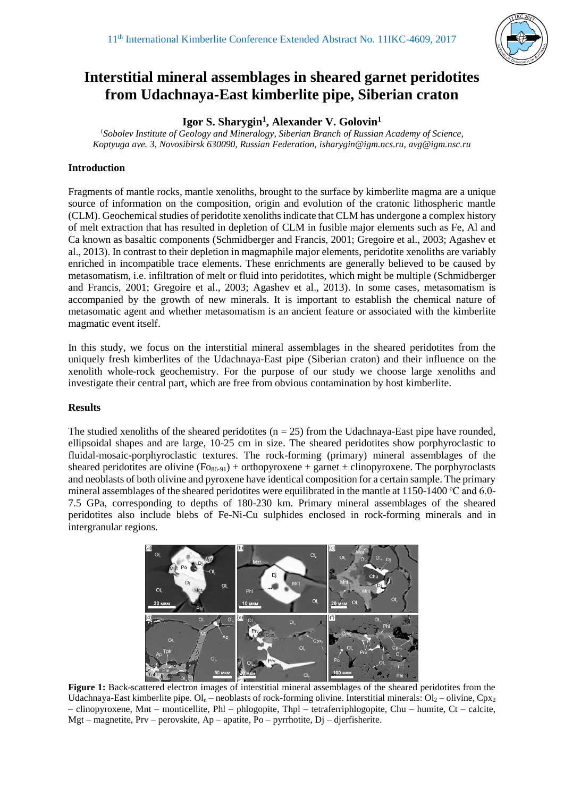

# **Interstitial mineral assemblages in sheared garnet peridotites from Udachnaya-East kimberlite pipe, Siberian craton**

**Igor S. Sharygin<sup>1</sup> , Alexander V. Golovin<sup>1</sup>**

*<sup>1</sup>Sobolev Institute of Geology and Mineralogy, Siberian Branch of Russian Academy of Science, Koptyuga ave. 3, Novosibirsk 630090, Russian Federation, isharygin@igm.ncs.ru, avg@igm.nsc.ru*

## **Introduction**

Fragments of mantle rocks, mantle xenoliths, brought to the surface by kimberlite magma are a unique source of information on the composition, origin and evolution of the cratonic lithospheric mantle (CLM). Geochemical studies of peridotite xenoliths indicate that CLM has undergone a complex history of melt extraction that has resulted in depletion of CLM in fusible major elements such as Fe, Al and Ca known as basaltic components (Schmidberger and Francis, 2001; Gregoire et al., 2003; Agashev et al., 2013). In contrast to their depletion in magmaphile major elements, peridotite xenoliths are variably enriched in incompatible trace elements. These enrichments are generally believed to be caused by metasomatism, i.e. infiltration of melt or fluid into peridotites, which might be multiple (Schmidberger and Francis, 2001; Gregoire et al., 2003; Agashev et al., 2013). In some cases, metasomatism is accompanied by the growth of new minerals. It is important to establish the chemical nature of metasomatic agent and whether metasomatism is an ancient feature or associated with the kimberlite magmatic event itself.

In this study, we focus on the interstitial mineral assemblages in the sheared peridotites from the uniquely fresh kimberlites of the Udachnaya-East pipe (Siberian craton) and their influence on the xenolith whole-rock geochemistry. For the purpose of our study we choose large xenoliths and investigate their central part, which are free from obvious contamination by host kimberlite.

## **Results**

The studied xenoliths of the sheared peridotites ( $n = 25$ ) from the Udachnaya-East pipe have rounded, ellipsoidal shapes and are large, 10-25 cm in size. The sheared peridotites show porphyroclastic to fluidal-mosaic-porphyroclastic textures. The rock-forming (primary) mineral assemblages of the sheared peridotites are olivine  $(F_{O_{86-91}})$  + orthopyroxene + garnet  $\pm$  clinopyroxene. The porphyroclasts and neoblasts of both olivine and pyroxene have identical composition for a certain sample. The primary mineral assemblages of the sheared peridotites were equilibrated in the mantle at  $1150-1400$  °C and  $6.0-$ 7.5 GPa, corresponding to depths of 180-230 km. Primary mineral assemblages of the sheared peridotites also include blebs of Fe-Ni-Cu sulphides enclosed in rock-forming minerals and in intergranular regions.



**Figure 1:** Back-scattered electron images of interstitial mineral assemblages of the sheared peridotites from the Udachnaya-East kimberlite pipe. Ol<sub>n</sub> – neoblasts of rock-forming olivine. Interstitial minerals: Ol<sub>2</sub> – olivine, Cpx<sub>2</sub> – clinopyroxene, Mnt – monticellite, Phl – phlogopite, Thpl – tetraferriphlogopite, Chu – humite, Ct – calcite, Mgt – magnetite, Prv – perovskite,  $Ap$  – apatite, Po – pyrrhotite, Dj – djerfisherite.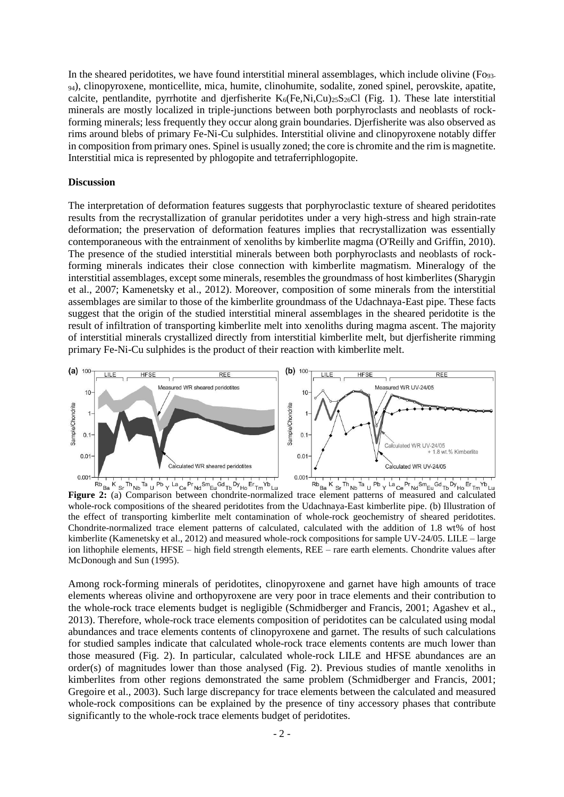In the sheared peridotites, we have found interstitial mineral assemblages, which include olivine (Fo93- <sup>94</sup>), clinopyroxene, monticellite, mica, humite, clinohumite, sodalite, zoned spinel, perovskite, apatite, calcite, pentlandite, pyrrhotite and djerfisherite  $K_6$ (Fe,Ni,Cu)<sub>25</sub>S<sub>26</sub>Cl (Fig. 1). These late interstitial minerals are mostly localized in triple-junctions between both porphyroclasts and neoblasts of rockforming minerals; less frequently they occur along grain boundaries. Djerfisherite was also observed as rims around blebs of primary Fe-Ni-Cu sulphides. Interstitial olivine and clinopyroxene notably differ in composition from primary ones. Spinel is usually zoned; the core is chromite and the rim is magnetite. Interstitial mica is represented by phlogopite and tetraferriphlogopite.

#### **Discussion**

The interpretation of deformation features suggests that porphyroclastic texture of sheared peridotites results from the recrystallization of granular peridotites under a very high-stress and high strain-rate deformation; the preservation of deformation features implies that recrystallization was essentially contemporaneous with the entrainment of xenoliths by kimberlite magma (O'Reilly and Griffin, 2010). The presence of the studied interstitial minerals between both porphyroclasts and neoblasts of rockforming minerals indicates their close connection with kimberlite magmatism. Mineralogy of the interstitial assemblages, except some minerals, resembles the groundmass of host kimberlites (Sharygin et al., 2007; Kamenetsky et al., 2012). Moreover, composition of some minerals from the interstitial assemblages are similar to those of the kimberlite groundmass of the Udachnaya-East pipe. These facts suggest that the origin of the studied interstitial mineral assemblages in the sheared peridotite is the result of infiltration of transporting kimberlite melt into xenoliths during magma ascent. The majority of interstitial minerals crystallized directly from interstitial kimberlite melt, but djerfisherite rimming primary Fe-Ni-Cu sulphides is the product of their reaction with kimberlite melt.



 $\frac{1}{Rb}$   $\frac{1}{Rb}$   $\frac{1}{Ra}$   $\frac{1}{S}$   $\frac{1}{Th}$   $\frac{1}{Nb}$   $\frac{1}{Th}$   $\frac{1}{Th}$   $\frac{1}{S}$   $\frac{1}{Th}$   $\frac{1}{Nh}$   $\frac{1}{Th}$   $\frac{1}{Th}$   $\frac{1}{Nh}$   $\frac{1}{Th}$   $\frac{1}{Nh}$   $\frac{1}{Th}$   $\frac{1}{Nh}$   $\frac{1}{Nh}$   $\frac{1}{Th}$   $\frac$ whole-rock compositions of the sheared peridotites from the Udachnaya-East kimberlite pipe. (b) Illustration of the effect of transporting kimberlite melt contamination of whole-rock geochemistry of sheared peridotites. Chondrite-normalized trace element patterns of calculated, calculated with the addition of 1.8 wt% of host kimberlite (Kamenetsky et al., 2012) and measured whole-rock compositions for sample UV-24/05. LILE – large ion lithophile elements, HFSE – high field strength elements, REE – rare earth elements. Chondrite values after McDonough and Sun (1995).

Among rock-forming minerals of peridotites, clinopyroxene and garnet have high amounts of trace elements whereas olivine and orthopyroxene are very poor in trace elements and their contribution to the whole-rock trace elements budget is negligible (Schmidberger and Francis, 2001; Agashev et al., 2013). Therefore, whole-rock trace elements composition of peridotites can be calculated using modal abundances and trace elements contents of clinopyroxene and garnet. The results of such calculations for studied samples indicate that calculated whole-rock trace elements contents are much lower than those measured (Fig. 2). In particular, calculated whole-rock LILE and HFSE abundances are an order(s) of magnitudes lower than those analysed (Fig. 2). Previous studies of mantle xenoliths in kimberlites from other regions demonstrated the same problem (Schmidberger and Francis, 2001; Gregoire et al., 2003). Such large discrepancy for trace elements between the calculated and measured whole-rock compositions can be explained by the presence of tiny accessory phases that contribute significantly to the whole-rock trace elements budget of peridotites.